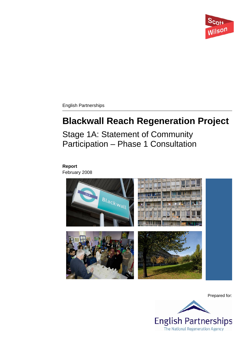

English Partnerships

# **Blackwall Reach Regeneration Project**

Stage 1A: Statement of Community Participation – Phase 1 Consultation

# **Report**

February 2008



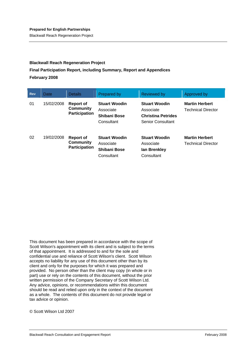Blackwall Reach Regeneration Project

#### **Blackwall Reach Regeneration Project**

#### **Final Participation Report, including Summary, Report and Appendices February 2008**

| <b>Rev</b> | Date       | <b>Details</b>                                               | Prepared by                                                            | <b>Reviewed by</b>                                                                         | Approved by                                        |
|------------|------------|--------------------------------------------------------------|------------------------------------------------------------------------|--------------------------------------------------------------------------------------------|----------------------------------------------------|
| 01         | 15/02/2008 | <b>Report of</b><br><b>Community</b><br><b>Participation</b> | <b>Stuart Woodin</b><br>Associate<br>Shibani Bose<br>Consultant        | <b>Stuart Woodin</b><br>Associate<br><b>Christina Petrides</b><br><b>Senior Consultant</b> | <b>Martin Herbert</b><br>Technical Director        |
| 02         | 19/02/2008 | <b>Report of</b><br><b>Community</b><br><b>Participation</b> | <b>Stuart Woodin</b><br>Associate<br><b>Shibani Bose</b><br>Consultant | <b>Stuart Woodin</b><br>Associate<br>lan Brenkley<br>Consultant                            | <b>Martin Herbert</b><br><b>Technical Director</b> |

This document has been prepared in accordance with the scope of Scott Wilson's appointment with its client and is subject to the terms of that appointment. It is addressed to and for the sole and confidential use and reliance of Scott Wilson's client. Scott Wilson accepts no liability for any use of this document other than by its client and only for the purposes for which it was prepared and provided. No person other than the client may copy (in whole or in part) use or rely on the contents of this document, without the prior written permission of the Company Secretary of Scott Wilson Ltd. Any advice, opinions, or recommendations within this document should be read and relied upon only in the context of the document as a whole. The contents of this document do not provide legal or tax advice or opinion.

© Scott Wilson Ltd 2007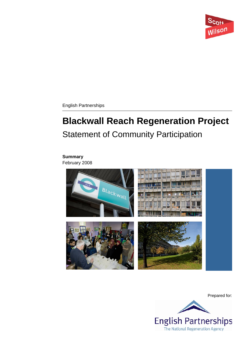

English Partnerships

# **Blackwall Reach Regeneration Project**  Statement of Community Participation

## **Summary**

February 2008



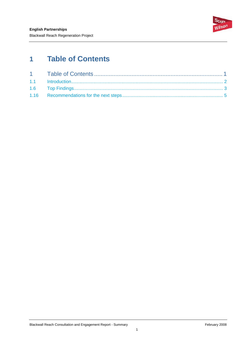

# <span id="page-3-0"></span>**1 Table of Contents**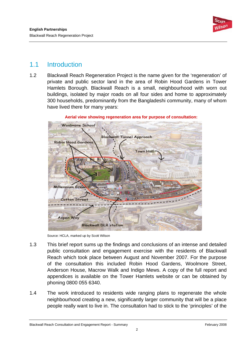

# <span id="page-4-0"></span>1.1 Introduction

1.2 Blackwall Reach Regeneration Project is the name given for the 'regeneration' of private and public sector land in the area of Robin Hood Gardens in Tower Hamlets Borough. Blackwall Reach is a small, neighbourhood with worn out buildings, isolated by major roads on all four sides and home to approximately 300 households, predominantly from the Bangladeshi community, many of whom have lived there for many years:



**Aerial view showing regeneration area for purpose of consultation:** 

Source: HCLA, marked up by Scott Wilson

- 1.3 This brief report sums up the findings and conclusions of an intense and detailed public consultation and engagement exercise with the residents of Blackwall Reach which took place between August and November 2007. For the purpose of the consultation this included Robin Hood Gardens, Woolmore Street, Anderson House, Macrow Walk and Indigo Mews. A copy of the full report and appendices is available on the Tower Hamlets website or can be obtained by phoning 0800 055 6340.
- 1.4 The work introduced to residents wide ranging plans to regenerate the whole neighbourhood creating a new, significantly larger community that will be a place people really want to live in. The consultation had to stick to the 'principles' of the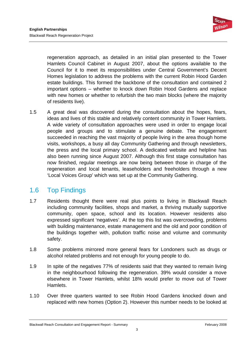

<span id="page-5-0"></span>regeneration approach, as detailed in an initial plan presented to the Tower Hamlets Council Cabinet in August 2007, about the options available to the Council for it to meet its responsibilities under Central Government's Decent Homes legislation to address the problems with the current Robin Hood Garden estate buildings. This formed the backbone of the consultation and contained 2 important options – whether to knock down Robin Hood Gardens and replace with new homes or whether to refurbish the two main blocks (where the majority of residents live).

1.5 A great deal was discovered during the consultation about the hopes, fears, ideas and lives of this stable and relatively content community in Tower Hamlets. A wide variety of consultation approaches were used in order to engage local people and groups and to stimulate a genuine debate. The engagement succeeded in reaching the vast majority of people living in the area though home visits, workshops, a busy all day Community Gathering and through newsletters, the press and the local primary school. A dedicated website and helpline has also been running since August 2007. Although this first stage consultation has now finished, regular meetings are now being between those in charge of the regeneration and local tenants, leaseholders and freeholders through a new 'Local Voices Group' which was set up at the Community Gathering.

# 1.6 Top Findings

- 1.7 Residents thought there were real plus points to living in Blackwall Reach including community facilities, shops and market, a thriving mutually supportive community, open space, school and its location. However residents also expressed significant 'negatives'. At the top this list was overcrowding, problems with building maintenance, estate management and the old and poor condition of the buildings together with, pollution traffic noise and volume and community safety.
- 1.8 Some problems mirrored more general fears for Londoners such as drugs or alcohol related problems and not enough for young people to do.
- 1.9 In spite of the negatives 77% of residents said that they wanted to remain living in the neighbourhood following the regeneration. 39% would consider a move elsewhere in Tower Hamlets, whilst 18% would prefer to move out of Tower Hamlets.
- 1.10 Over three quarters wanted to see Robin Hood Gardens knocked down and replaced with new homes (Option 2). However this number needs to be looked at

Blackwall Reach Consultation and Engagement Report - Summary February 7008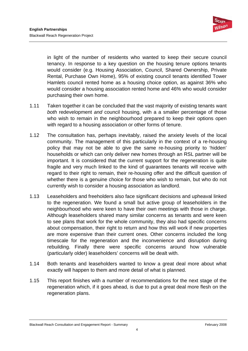

in light of the number of residents who wanted to keep their secure council tenancy. In response to a key question on the housing tenure options tenants would consider (e.g. Housing Association, Council, Shared Ownership, Private Rental, Purchase Own Home), 95% of existing council tenants identified Tower Hamlets council rented home as a housing choice option, as against 36% who would consider a housing association rented home and 46% who would consider purchasing their own home.

- 1.11 Taken together it can be concluded that the vast majority of existing tenants want *both* redevelopment *and* council housing, with a a smaller percentage of those who wish to remain in the neighbourhood prepared to keep their options open with regard to a housing association or other forms of tenure.
- 1.12 The consultation has, perhaps inevitably, raised the anxiety levels of the local community. The management of this particularly in the context of a re-housing policy that may not be able to give the same re-housing priority to 'hidden' households or which can only deliver new homes through an RSL partner will be important. It is considered that the current support for the regeneration is quite fragile and very much linked to the kind of guarantees tenants will receive with regard to their right to remain, their re-housing offer and the difficult question of whether there is a genuine choice for those who wish to remain, but who do not currently wish to consider a housing association as landlord.
- 1.13 Leaseholders and freeholders also face significant decisions and upheaval linked to the regeneration. We found a small but active group of leaseholders in the neighbourhood who were keen to have their own meetings with those in charge. Although leaseholders shared many similar concerns as tenants and were keen to see plans that work for the whole community, they also had specific concerns about compensation, their right to return and how this will work if new properties are more expensive than their current ones. Other concerns included the long timescale for the regeneration and the inconvenience and disruption during rebuilding. Finally there were specific concerns around how vulnerable (particularly older) leaseholders' concerns will be dealt with.
- 1.14 Both tenants and leaseholders wanted to know a great deal more about what exactly will happen to them and more detail of what is planned.
- 1.15 This report finishes with a number of recommendations for the next stage of the regeneration which, if it goes ahead, is due to put a great deal more flesh on the regeneration plans.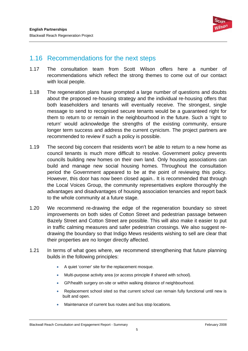

## <span id="page-7-0"></span>1.16 Recommendations for the next steps

- 1.17 The consultation team from Scott Wilson offers here a number of recommendations which reflect the strong themes to come out of our contact with local people.
- 1.18 The regeneration plans have prompted a large number of questions and doubts about the proposed re-housing strategy and the individual re-housing offers that both leaseholders and tenants will eventually receive. The strongest, single message to send to recognised secure tenants would be a guaranteed right for them to return to or remain in the neighbourhood in the future. Such a 'right to return' would acknowledge the strengths of the existing community, ensure longer term success and address the current cynicism. The project partners are recommended to review if such a policy is possible.
- 1.19 The second big concern that residents won't be able to return to a new home as council tenants is much more difficult to resolve. Government policy prevents councils building new homes on their own land. Only housing associations can build and manage new social housing homes. Throughout the consultation period the Government appeared to be at the point of reviewing this policy. However, this door has now been closed again.. It is recommended that through the Local Voices Group, the community representatives explore thoroughly the advantages and disadvantages of housing association tenancies and report back to the whole community at a future stage.
- 1.20 We recommend re-drawing the edge of the regeneration boundary so street improvements on both sides of Cotton Street and pedestrian passage between Bazely Street and Cotton Street are possible. This will also make it easier to put in traffic calming measures and safer pedestrian crossings. We also suggest redrawing the boundary so that Indigo Mews residents wishing to sell are clear that their properties are no longer directly affected.
- 1.21 In terms of what goes where, we recommend strengthening that future planning builds in the following principles:
	- A quiet 'corner' site for the replacement mosque.
	- Multi-purpose activity area (or access principle if shared with school).
	- GP/health surgery on-site or within walking distance of neighbourhood.
	- Replacement school sited so that current school can remain fully functional until new is built and open.
	- Maintenance of current bus routes and bus stop locations.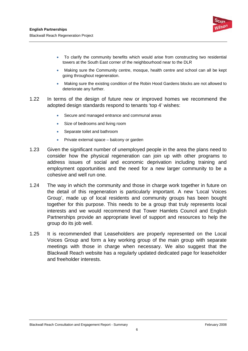

- To clarify the community benefits which would arise from constructing two residential towers at the South East corner of the neighbourhood near to the DLR
- Making sure the Community centre, mosque, health centre and school can all be kept going throughout regeneration.
- Making sure the existing condition of the Robin Hood Gardens blocks are not allowed to deteriorate any further.
- 1.22 In terms of the design of future new or improved homes we recommend the adopted design standards respond to tenants 'top 4' wishes:
	- Secure and managed entrance and communal areas
	- Size of bedrooms and living room
	- Separate toilet and bathroom
	- Private external space balcony or garden
- 1.23 Given the significant number of unemployed people in the area the plans need to consider how the physical regeneration can join up with other programs to address issues of social and economic deprivation including training and employment opportunities and the need for a new larger community to be a cohesive and well run one.
- 1.24 The way in which the community and those in charge work together in future on the detail of this regeneration is particularly important. A new 'Local Voices Group', made up of local residents and community groups has been bought together for this purpose. This needs to be a group that truly represents local interests and we would recommend that Tower Hamlets Council and English Partnerships provide an appropriate level of support and resources to help the group do its job well.
- 1.25 It is recommended that Leaseholders are properly represented on the Local Voices Group and form a key working group of the main group with separate meetings with those in charge when necessary. We also suggest that the Blackwall Reach website has a regularly updated dedicated page for leaseholder and freeholder interests.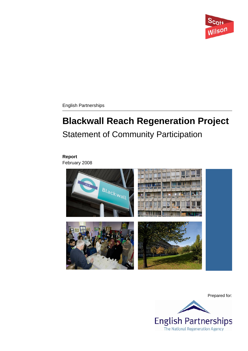

English Partnerships

# **Blackwall Reach Regeneration Project**  Statement of Community Participation

### **Report**

February 2008



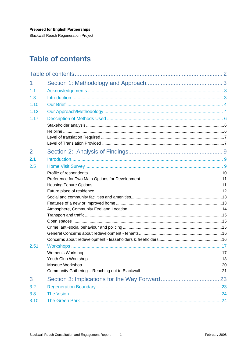<span id="page-10-0"></span>**Blackwall Reach Regeneration Project** 

# **Table of contents**

| 1              |  |
|----------------|--|
| 1.1            |  |
| 1.3            |  |
| 1.10           |  |
| 1.12           |  |
| 1.17           |  |
|                |  |
|                |  |
|                |  |
|                |  |
| $\overline{2}$ |  |
| 2.1            |  |
| 2.5            |  |
|                |  |
|                |  |
|                |  |
|                |  |
|                |  |
|                |  |
|                |  |
|                |  |
|                |  |
|                |  |
|                |  |
| 2.51           |  |
|                |  |
|                |  |
|                |  |
| 3              |  |
| 3.2            |  |
| 3.8            |  |
| 3.10           |  |
|                |  |

 $\mathbf{1}$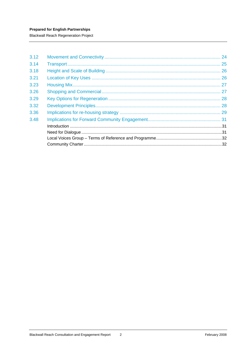**Blackwall Reach Regeneration Project** 

| 3.12 |    |
|------|----|
| 3.14 |    |
| 3.18 | 26 |
| 3.21 |    |
| 3.23 |    |
| 3.26 | 27 |
| 3.29 |    |
| 3.32 |    |
| 3.36 |    |
| 3.48 |    |
|      |    |
|      |    |
|      |    |
|      |    |
|      |    |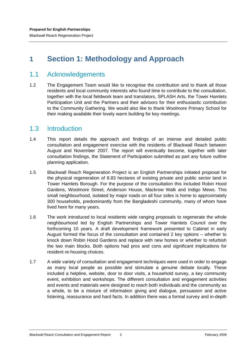# <span id="page-12-0"></span>**1 Section 1: Methodology and Approach**

## 1.1 Acknowledgements

1.2 The Engagement Team would like to recognise the contribution and to thank all those residents and local community interests who found time to contribute to the consultation, together with the local fieldwork team and translators, SPLASH Arts, the Tower Hamlets Participation Unit and the Partners and their advisors for their enthusiastic contribution to the Community Gathering. We would also like to thank Woolmore Primary School for their making available their lovely warm building for key meetings.

## 1.3 Introduction

- 1.4 This report details the approach and findings of an intense and detailed public consultation and engagement exercise with the residents of Blackwall Reach between August and November 2007. The report will eventually become, together with later consultation findings, the Statement of Participation submitted as part any future outline planning application.
- 1.5 Blackwall Reach Regeneration Project is an English Partnerships initiated proposal for the physical regeneration of 8.83 hectares of existing private and public sector land in Tower Hamlets Borough. For the purpose of the consultation this included Robin Hood Gardens, Woolmore Street, Anderson House, Mackrow Walk and Indigo Mews. This small neighbourhood, isolated by major roads on all four sides is home to approximately 300 households, predominantly from the Bangladeshi community, many of whom have lived here for many years.
- 1.6 The work introduced to local residents wide ranging proposals to regenerate the whole neighbourhood led by English Partnerships and Tower Hamlets Council over the forthcoming 10 years. A draft development framework presented to Cabinet in early August formed the focus of the consultation and contained 2 key options – whether to knock down Robin Hood Gardens and replace with new homes or whether to refurbish the two main blocks. Both options had pros and cons and significant implications for resident re-housing choices.
- 1.7 A wide variety of consultation and engagement techniques were used in order to engage as many local people as possible and stimulate a genuine debate locally. These included a helpline, website, door to door visits, a household survey, a key community event, exhibition and workshops. The different consultation and engagement activities and events and materials were designed to reach both individuals and the community as a whole, to be a mixture of information giving and dialogue, persuasion and active listening, reassurance and hard facts. In addition there was a formal survey and in-depth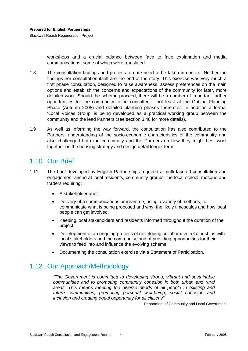<span id="page-13-0"></span>workshops and a crucial balance between face to face explanation and media communications, some of which were translated.

- 1.8 The consultation findings and process to date need to be taken in context. Neither the findings nor consultation itself are the end of the story. This exercise was very much a first phase consultation, designed to raise awareness, assess preferences on the main options and establish the concerns and expectations of the community for later, more detailed work. Should the scheme proceed, there will be a number of important further opportunities for the community to be consulted – not least at the Outline Planning Phase (Autumn 2008) and detailed planning phases thereafter. In addition a formal 'Local Voices Group' is being developed as a practical working group between the community and the lead Partners (see section 3.48 for more details).
- 1.9 As well as informing the way forward, the consultation has also contributed to the Partners' understanding of the socio-economic characteristics of the community and also challenged both the community and the Partners on how they might best work together on the housing strategy and design detail longer term.

# 1.10 Our Brief

- 1.11 The brief developed by English Partnerships required a multi faceted consultation and engagement aimed at local residents, community groups, the local school, mosque and traders requiring:
	- A stakeholder audit.
	- Delivery of a communications programme, using a variety of methods, to communicate what is being proposed and why, the likely timescales and how local people can get involved.
	- Keeping local stakeholders and residents informed throughout the duration of the project.
	- Development of an ongoing process of developing collaborative relationships with local stakeholders and the community, and of providing opportunities for their views to feed into and influence the evolving scheme.
	- Documenting the consultation exercise via a Statement of Participation.

# 1.12 Our Approach/Methodology

*"The Government is committed to developing strong, vibrant and sustainable communities and to promoting community cohesion in both urban and rural areas. This means meeting the diverse needs of all people in existing and future communities, promoting personal well-being, social cohesion and inclusion and creating equal opportunity for all citizens"* 

Department of Community and Local Government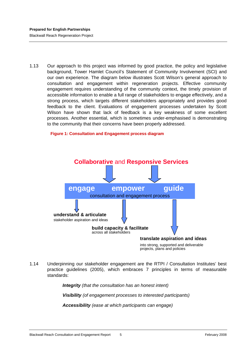1.13 Our approach to this project was informed by good practice, the policy and legislative background, Tower Hamlet Council's Statement of Community Involvement (SCI) and our own experience. The diagram below illustrates Scott Wilson's general approach to consultation and engagement within regeneration projects. Effective community engagement requires understanding of the community context, the timely provision of accessible information to enable a full range of stakeholders to engage effectively, and a strong process, which targets different stakeholders appropriately and provides good feedback to the client. Evaluations of engagement processes undertaken by Scott Wilson have shown that lack of feedback is a key weakness of some excellent processes. Another essential, which is sometimes under-emphasised is demonstrating to the community that their concerns have been properly addressed.

**Figure 1: Consultation and Engagement process diagram** 



1.14 Underpinning our stakeholder engagement are the RTPI / Consultation Institutes' best practice guidelines (2005), which embraces 7 principles in terms of measurable standards:

*Integrity (that the consultation has an honest intent)* 

*Visibility (of engagement processes to interested participants)* 

*Accessibility (ease at which participants can engage)*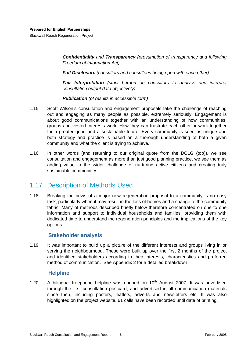<span id="page-15-0"></span>*Confidentiality and Transparency (presumption of transparency and following Freedom of Information Act)* 

*Full Disclosure (consultors and consultees being open with each other)* 

*Fair Interpretation (strict burden on consultors to analyse and interpret consultation output data objectively)* 

*Publication (of results in accessible form)* 

- 1.15 Scott Wilson's consultation and engagement proposals take the challenge of reaching out and engaging as many people as possible, extremely seriously. Engagement is about good communications together with an understanding of how communities, groups and vested interests work. How they can frustrate each other or work together for a greater good and a sustainable future. Every community is seen as unique and both strategy and practice is based on a thorough understanding of both a given community and what the client is trying to achieve.
- 1.16 In other words (and returning to our original quote from the DCLG (top)), we see consultation and engagement as more than just good planning practice, we see them as adding value to the wider challenge of nurturing active citizens and creating truly sustainable communities.

## 1.17 Description of Methods Used

1.18 Breaking the news of a major new regeneration proposal to a community is no easy task, particularly when it may result in the loss of homes and a change to the community fabric. Many of methods described briefly below therefore concentrated on one to one information and support to individual households and families, providing them with dedicated time to understand the regeneration principles and the implications of the key options.

#### **Stakeholder analysis**

1.19 It was important to build up a picture of the different interests and groups living in or serving the neighbourhood. These were built up over the first 2 months of the project and identified stakeholders according to their interests, characteristics and preferred method of communication. See Appendix 2 for a detailed breakdown.

#### **Helpline**

1.20  $\pm$  A bilingual freephone helpline was opened on 10<sup>th</sup> August 2007. It was advertised through the first consultation postcard, and advertised in all communication materials since then, including posters, leaflets, adverts and newsletters etc. It was also highlighted on the project website. 61 calls have been recorded until date of printing.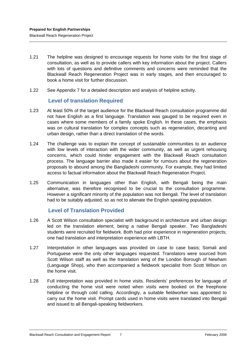- <span id="page-16-0"></span>1.21 The helpline was designed to encourage requests for home visits for the first stage of consultation, as well as to provide callers with key information about the project. Callers with lots of questions and definitive comments and concerns were reminded that the Blackwall Reach Regeneration Project was in early stages, and then encouraged to book a home visit for further discussion.
- 1.22 See Appendix 7 for a detailed description and analysis of helpline activity.

#### **Level of translation Required**

- 1.23 At least 50% of the target audience for the Blackwall Reach consultation programme did not have English as a first language. Translation was gauged to be required even in cases where some members of a family spoke English. In these cases, the emphasis was on cultural translation for complex concepts such as regeneration, decanting and urban design, rather than a direct translation of the words.
- 1.24 The challenge was to explain the concept of sustainable communities to an audience with low levels of interaction with the wider community, as well as urgent rehousing concerns, which could hinder engagement with the Blackwall Reach consultation process. The language barrier also made it easier for rumours about the regeneration proposals to abound among the Bangladeshi community. For example, they had limited access to factual information about the Blackwall Reach Regeneration Project.
- 1.25 Communication in languages other than English, with Bengali being the main alternative, was therefore recognised to be crucial to the consultation programme. However a significant minority of the population was not Bengali. The level of translation had to be suitably adjusted, so as not to alienate the English speaking population.

#### **Level of Translation Provided**

- 1.26 A Scott Wilson consultation specialist with background in architecture and urban design led on the translation element, being a native Bengali speaker. Two Bangladeshi students were recruited for fieldwork. Both had prior experience in regeneration projects; one had translation and interpretation experience with LBTH.
- 1.27 Interpretation in other languages was provided on case to case basis; Somali and Portuguese were the only other languages requested. Translators were sourced from Scott Wilson staff as well as the translation wing of the London Borough of Newham (Language Shop), who then accompanied a fieldwork specialist from Scott Wilson on the home visit.
- 1.28 Full interpretation was provided in home visits. Residents' preferences for language of conducting the home visit were noted when visits were booked on the freephone helpline or through cold calling. Accordingly, a suitable fieldworker was appointed to carry out the home visit. Prompt cards used in home visits were translated into Bengali and issued to all Bengali-speaking fieldworkers.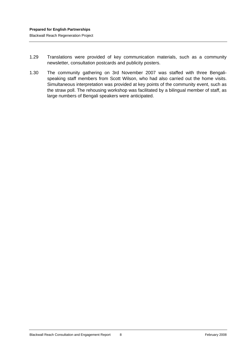- 1.29 Translations were provided of key communication materials, such as a community newsletter, consultation postcards and publicity posters.
- 1.30 The community gathering on 3rd November 2007 was staffed with three Bengalispeaking staff members from Scott Wilson, who had also carried out the home visits. Simultaneous interpretation was provided at key points of the community event, such as the straw poll. The rehousing workshop was facilitated by a bilingual member of staff, as large numbers of Bengali speakers were anticipated.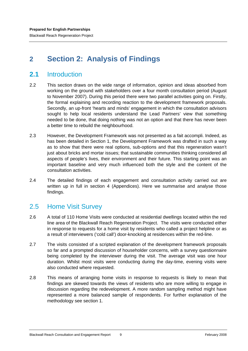# <span id="page-18-0"></span>**2 Section 2: Analysis of Findings**

## **2.1** Introduction

- 2.2 This section draws on the wide range of information, opinion and ideas absorbed from working on the ground with stakeholders over a four month consultation period (August to November 2007). During this period there were two parallel activities going on. Firstly, the formal explaining and recording reaction to the development framework proposals. Secondly, an up-front 'hearts and minds' engagement in which the consultation advisors sought to help local residents understand the Lead Partners' view that something needed to be done, that doing nothing was not an option and that there has never been a better time to rebuild the neighbourhood.
- 2.3 However, the Development Framework was not presented as a fait accompli. Indeed, as has been detailed in Section 1, the Development Framework was drafted in such a way as to show that there were real options, sub-options and that this regeneration wasn't just about bricks and mortar issues; that sustainable communities thinking considered all aspects of people's lives, their environment and their future. This starting point was an important baseline and very much influenced both the style and the content of the consultation activities.
- 2.4 The detailed findings of each engagement and consultation activity carried out are written up in full in section 4 (Appendices). Here we summarise and analyse those findings.

## 2.5 Home Visit Survey

- 2.6 A total of 110 Home Visits were conducted at residential dwellings located within the red line area of the Blackwall Reach Regeneration Project. The visits were conducted either in response to requests for a home visit by residents who called a project helpline or as a result of interviewers ('cold call') door-knocking at residences within the red-line.
- 2.7 The visits consisted of a scripted explanation of the development framework proposals so far and a prompted discussion of householder concerns, with a survey questionnaire being completed by the interviewer during the visit. The average visit was one hour duration. Whilst most visits were conducting during the day-time, evening visits were also conducted where requested.
- 2.8 This means of arranging home visits in response to requests is likely to mean that findings are skewed towards the views of residents who are more willing to engage in discussion regarding the redevelopment. A more random sampling method might have represented a more balanced sample of respondents. For further explanation of the methodology see section 1.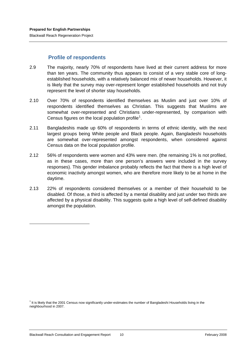#### **Profile of respondents**

- <span id="page-19-0"></span>2.9 The majority, nearly 70% of respondents have lived at their current address for more than ten years. The community thus appears to consist of a very stable core of longestablished households, with a relatively balanced mix of newer households. However, it is likely that the survey may over-represent longer established households and not truly represent the level of shorter stay households.
- 2.10 Over 70% of respondents identified themselves as Muslim and just over 10% of respondents identified themselves as Christian. This suggests that Muslims are somewhat over-represented and Christians under-represented, by comparison with Census figures on the local population profile<sup>[1](#page-19-1)</sup>.
- 2.11 Bangladeshis made up 60% of respondents in terms of ethnic identity, with the next largest groups being White people and Black people. Again, Bangladeshi households are somewhat over-represented amongst respondents, when considered against Census data on the local population profile.
- 2.12 56% of respondents were women and 43% were men. (the remaining 1% is not profiled, as in these cases, more than one person's answers were included in the survey responses). This gender imbalance probably reflects the fact that there is a high level of economic inactivity amongst women, who are therefore more likely to be at home in the daytime.
- 2.13 22% of respondents considered themselves or a member of their household to be disabled. Of those, a third is affected by a mental disability and just under two thirds are affected by a physical disability. This suggests quite a high level of self-defined disability amongst the population.

-

<span id="page-19-1"></span><sup>&</sup>lt;sup>1</sup> It is likely that the 2001 Census now significantly under-estimates the number of Bangladeshi Households living in the neighbourhood in 2007.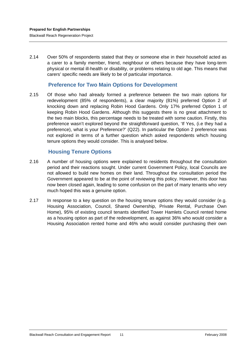<span id="page-20-0"></span>2.14 Over 50% of respondents stated that they or someone else in their household acted as a carer to a family member, friend, neighbour or others because they have long-term physical or mental ill-health or disability, or problems relating to old age. This means that carers' specific needs are likely to be of particular importance.

#### **Preference for Two Main Options for Development**

2.15 Of those who had already formed a preference between the two main options for redevelopment (85% of respondents), a clear majority (81%) preferred Option 2 of knocking down and replacing Robin Hood Gardens. Only 17% preferred Option 1 of keeping Robin Hood Gardens. Although this suggests there is no great attachment to the two main blocks, this percentage needs to be treated with some caution. Firstly, this preference wasn't explored beyond the straightforward question, 'If Yes, (i.e they had a preference), what is your Preference?' (Q22). In particular the Option 2 preference was not explored in terms of a further question which asked respondents which housing tenure options they would consider. This is analysed below.

## **Housing Tenure Options**

- 2.16 A number of housing options were explained to residents throughout the consultation period and their reactions sought. Under current Government Policy, local Councils are not allowed to build new homes on their land. Throughout the consultation period the Government appeared to be at the point of reviewing this policy. However, this door has now been closed again, leading to some confusion on the part of many tenants who very much hoped this was a genuine option.
- 2.17 In response to a key question on the housing tenure options they would consider (e.g. Housing Association, Council, Shared Ownership, Private Rental, Purchase Own Home), 95% of existing council tenants identified Tower Hamlets Council rented home as a housing option as part of the redevelopment, as against 36% who would consider a Housing Association rented home and 46% who would consider purchasing their own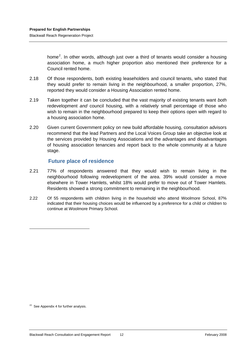<span id="page-21-0"></span>home<sup>2</sup>. In other words, although just over a third of tenants would consider a housing association home, a much higher proportion also mentioned their preference for a Council rented home.

- 2.18 Of those respondents, both existing leaseholders and council tenants, who stated that they would prefer to remain living in the neighbourhood, a smaller proportion, 27%, reported they would consider a Housing Association rented home.
- 2.19 Taken together it can be concluded that the vast majority of existing tenants want *both*  redevelopment *and* council housing, with a relatively small percentage of those who wish to remain in the neighbourhood prepared to keep their options open with regard to a housing association home.
- 2.20 Given current Government policy on new build affordable housing, consultation advisors recommend that the lead Partners and the Local Voices Group take an objective look at the services provided by Housing Associations and the advantages and disadvantages of housing association tenancies and report back to the whole community at a future stage.

#### **Future place of residence**

- 2.21 77% of respondents answered that they would wish to remain living in the neighbourhood following redevelopment of the area. 39% would consider a move elsewhere in Tower Hamlets, whilst 18% would prefer to move out of Tower Hamlets. Residents showed a strong commitment to remaining in the neighbourhood.
- 2.22 Of 55 respondents with children living in the household who attend Woolmore School, 87% indicated that their housing choices would be influenced by a preference for a child or children to continue at Woolmore Primary School.

1

 $22$  See Appendix 4 for further analysis.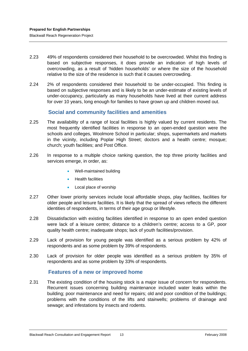- <span id="page-22-0"></span>2.23 49% of respondents considered their household to be overcrowded. Whilst this finding is based on subjective responses, it does provide an indication of high levels of overcrowding, as a result of 'hidden households' or where the size of the household relative to the size of the residence is such that it causes overcrowding.
- 2.24 2% of respondents considered their household to be under-occupied. This finding is based on subjective responses and is likely to be an under-estimate of existing levels of under-occupancy, particularly as many households have lived at their current address for over 10 years, long enough for families to have grown up and children moved out.

## **Social and community facilities and amenities**

- 2.25 The availability of a range of local facilities is highly valued by current residents. The most frequently identified facilities in response to an open-ended question were the schools and colleges, Woolmore School in particular; shops, supermarkets and markets in the vicinity, including Poplar High Street; doctors and a health centre; mosque; church; youth facilities; and Post Office.
- 2.26 In response to a multiple choice ranking question, the top three priority facilities and services emerge, in order, as:
	- Well-maintained building
	- Health facilities
	- Local place of worship
- 2.27 Other lower priority services include local affordable shops, play facilities, facilities for older people and leisure facilities. It is likely that the spread of views reflects the different identities of respondents, in terms of their age group or lifestyle.
- 2.28 Dissatisfaction with existing facilities identified in response to an open ended question were lack of a leisure centre; distance to a children's centre; access to a GP, poor quality health centre; inadequate shops; lack of youth facilities/provision.
- 2.29 Lack of provision for young people was identified as a serious problem by 42% of respondents and as some problem by 39% of respondents.
- 2.30 Lack of provision for older people was identified as a serious problem by 35% of respondents and as some problem by 33% of respondents.

#### **Features of a new or improved home**

2.31 The existing condition of the housing stock is a major issue of concern for respondents. Recurrent issues concerning building maintenance included water leaks within the building; poor maintenance and need for repairs; old and poor condition of the buildings; problems with the conditions of the lifts and stairwells; problems of drainage and sewage; and infestations by insects and rodents.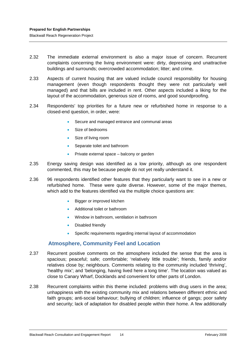- <span id="page-23-0"></span>2.32 The immediate external environment is also a major issue of concern. Recurrent complaints concerning the living environment were: dirty, depressing and unattractive buildings and surrounds; overcrowded accommodation; litter; and crime.
- 2.33 Aspects of current housing that are valued include council responsibility for housing management (even though respondents thought they were not particularly well managed) and that bills are included in rent. Other aspects included a liking for the layout of the accommodation, generous size of rooms, and good soundproofing.
- 2.34 Respondents' top priorities for a future new or refurbished home in response to a closed-end question, in order, were:
	- Secure and managed entrance and communal areas
	- Size of bedrooms
	- Size of living room
	- Separate toilet and bathroom
	- Private external space balcony or garden
- 2.35 Energy saving design was identified as a low priority, although as one respondent commented, this may be because people do not yet really understand it.
- 2.36 96 respondents identified other features that they particularly want to see in a new or refurbished home. These were quite diverse. However, some of the major themes, which add to the features identified via the multiple choice questions are:
	- Bigger or improved kitchen
	- Additional toilet or bathroom
	- Window in bathroom, ventilation in bathroom
	- Disabled friendly
	- Specific requirements regarding internal layout of accommodation

#### **Atmosphere, Community Feel and Location**

- 2.37 Recurrent positive comments on the atmosphere included the sense that the area is spacious; peaceful; safe; comfortable; 'relatively little trouble'; friends, family and/or relatives close by; neighbours. Comments relating to the community included 'thriving', 'healthy mix'; and 'belonging, having lived here a long time'. The location was valued as close to Canary Wharf, Docklands and convenient for other parts of London.
- 2.38 Recurrent complaints within this theme included: problems with drug users in the area; unhappiness with the existing community mix and relations between different ethnic and faith groups; anti-social behaviour; bullying of children; influence of gangs; poor safety and security; lack of adaptation for disabled people within their home. A few additionally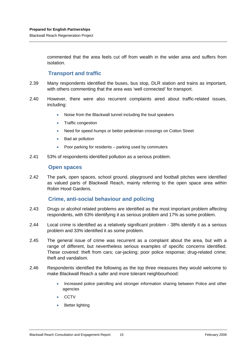<span id="page-24-0"></span>commented that the area feels cut off from wealth in the wider area and suffers from isolation.

#### **Transport and traffic**

- 2.39 Many respondents identified the buses, bus stop, DLR station and trains as important, with others commenting that the area was 'well connected' for transport.
- 2.40 However, there were also recurrent complaints aired about traffic-related issues, including:
	- Noise from the Blackwall tunnel including the loud speakers
	- Traffic congestion
	- Need for speed humps or better pedestrian crossings on Cotton Street
	- Bad air pollution
	- Poor parking for residents parking used by commuters
- 2.41 53% of respondents identified pollution as a serious problem.

#### **Open spaces**

2.42 The park, open spaces, school ground, playground and football pitches were identified as valued parts of Blackwall Reach, mainly referring to the open space area within Robin Hood Gardens.

#### **Crime, anti-social behaviour and policing**

- 2.43 Drugs or alcohol related problems are identified as the most important problem affecting respondents, with 63% identifying it as serious problem and 17% as some problem.
- 2.44 Local crime is identified as a relatively significant problem 38% identify it as a serious problem and 33% identified it as some problem.
- 2.45 The general issue of crime was recurrent as a complaint about the area, but with a range of different, but nevertheless serious examples of specific concerns identified. These covered: theft from cars; car-jacking; poor police response; drug-related crime; theft and vandalism.
- 2.46 Respondents identified the following as the top three measures they would welcome to make Blackwall Reach a safer and more tolerant neighbourhood:
	- Increased police patrolling and stronger information sharing between Police and other agencies
	- CCTV
	- **Better lighting**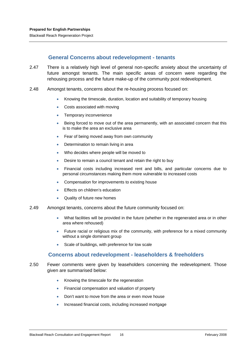#### **General Concerns about redevelopment - tenants**

- <span id="page-25-0"></span>2.47 There is a relatively high level of general non-specific anxiety about the uncertainty of future amongst tenants. The main specific areas of concern were regarding the rehousing process and the future make-up of the community post redevelopment.
- 2.48 Amongst tenants, concerns about the re-housing process focused on:
	- Knowing the timescale, duration, location and suitability of temporary housing
	- Costs associated with moving
	- Temporary inconvenience
	- Being forced to move out of the area permanently, with an associated concern that this is to make the area an exclusive area
	- Fear of being moved away from own community
	- Determination to remain living in area
	- Who decides where people will be moved to
	- Desire to remain a council tenant and retain the right to buy
	- Financial costs including increased rent and bills, and particular concerns due to personal circumstances making them more vulnerable to increased costs
	- Compensation for improvements to existing house
	- Effects on children's education
	- Quality of future new homes
- 2.49 Amongst tenants, concerns about the future community focused on:
	- What facilities will be provided in the future (whether in the regenerated area or in other area where rehoused)
	- Future racial or religious mix of the community, with preference for a mixed community without a single dominant group
	- Scale of buildings, with preference for low scale

#### **Concerns about redevelopment - leaseholders & freeholders**

- 2.50 Fewer comments were given by leaseholders concerning the redevelopment. Those given are summarised below:
	- Knowing the timescale for the regeneration
	- Financial compensation and valuation of property
	- Don't want to move from the area or even move house
	- Increased financial costs, including increased mortgage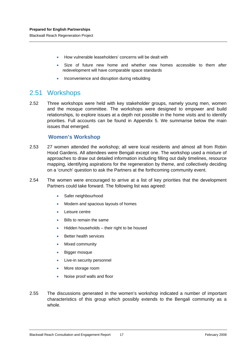- <span id="page-26-0"></span>• How vulnerable leaseholders' concerns will be dealt with
- Size of future new home and whether new homes accessible to them after redevelopment will have comparable space standards
- Inconvenience and disruption during rebuilding

## 2.51 Workshops

2.52 Three workshops were held with key stakeholder groups, namely young men, women and the mosque committee. The workshops were designed to empower and build relationships, to explore issues at a depth not possible in the home visits and to identify priorities. Full accounts can be found in Appendix 5. We summarise below the main issues that emerged.

#### **Women's Workshop**

- 2.53 27 women attended the workshop; all were local residents and almost all from Robin Hood Gardens. All attendees were Bengali except one. The workshop used a mixture of approaches to draw out detailed information including filling out daily timelines, resource mapping, identifying aspirations for the regeneration by theme, and collectively deciding on a 'crunch' question to ask the Partners at the forthcoming community event.
- 2.54 The women were encouraged to arrive at a list of key priorities that the development Partners could take forward. The following list was agreed:
	- Safer neighbourhood
	- Modern and spacious layouts of homes
	- Leisure centre
	- Bills to remain the same
	- Hidden households their right to be housed
	- **Better health services**
	- Mixed community
	- Bigger mosque
	- Live-in security personnel
	- More storage room
	- Noise proof walls and floor
- 2.55 The discussions generated in the women's workshop indicated a number of important characteristics of this group which possibly extends to the Bengali community as a whole.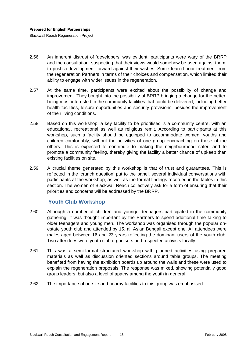- <span id="page-27-0"></span>2.56 An inherent distrust of 'developers' was evident; participants were wary of the BRRP and the consultation, suspecting that their views would somehow be used against them, to push a development forward against their wishes. Some feared poor treatment from the regeneration Partners in terms of their choices and compensation, which limited their ability to engage with wider issues in the regeneration.
- 2.57 At the same time, participants were excited about the possibility of change and improvement. They bought into the possibility of BRRP bringing a change for the better, being most interested in the community facilities that could be delivered, including better health facilities, leisure opportunities and security provisions, besides the improvement of their living conditions.
- 2.58 Based on this workshop, a key facility to be prioritised is a community centre, with an educational, recreational as well as religious remit. According to participants at this workshop, such a facility should be equipped to accommodate women, youths and children comfortably, without the activities of one group encroaching on those of the others. This is expected to contribute to making the neighbourhood safer, and to promote a community feeling, thereby giving the facility a better chance of upkeep than existing facilities on site.
- 2.59 A crucial theme generated by this workshop is that of trust and guarantees. This is reflected in the 'crunch question' put to the panel, several individual conversations with participants at the workshop, as well as the formal findings recorded in the tables in this section. The women of Blackwall Reach collectively ask for a form of ensuring that their priorities and concerns will be addressed by the BRRP.

## **Youth Club Workshop**

- 2.60 Although a number of children and younger teenagers participated in the community gathering, it was thought important by the Partners to spend additional time talking to older teenagers and young men. The workshop was organised through the popular onestate youth club and attended by 15, all Asian Bengali except one. All attendees were males aged between 16 and 23 years reflecting the dominant users of the youth club. Two attendees were youth club organisers and respected activists locally.
- 2.61 This was a semi-formal structured workshop with planned activities using prepared materials as well as discussion oriented sections around table groups. The meeting benefited from having the exhibition boards up around the walls and these were used to explain the regeneration proposals. The response was mixed, showing potentially good group leaders, but also a level of apathy among the youth in general.
- 2.62 The importance of on-site and nearby facilities to this group was emphasised: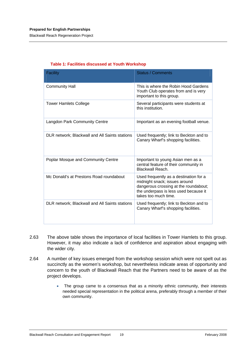Blackwall Reach Regeneration Project

| <b>Facility</b>                                | <b>Status / Comments</b>                                                                                                                                                          |
|------------------------------------------------|-----------------------------------------------------------------------------------------------------------------------------------------------------------------------------------|
|                                                |                                                                                                                                                                                   |
| <b>Community Hall</b>                          | This is where the Robin Hood Gardens<br>Youth Club operates from and is very<br>important to this group.                                                                          |
| <b>Tower Hamlets College</b>                   | Several participants were students at<br>this institution.                                                                                                                        |
| <b>Langdon Park Community Centre</b>           | Important as an evening football venue.                                                                                                                                           |
| DLR network; Blackwall and All Saints stations | Used frequently; link to Beckton and to<br>Canary Wharf's shopping facilities.                                                                                                    |
| Poplar Mosque and Community Centre             | Important to young Asian men as a<br>central feature of their community in<br>Blackwall Reach.                                                                                    |
| Mc Donald's at Prestons Road roundabout        | Used frequently as a destination for a<br>midnight snack; issues around<br>dangerous crossing at the roundabout;<br>the underpass is less used because it<br>takes too much time. |
| DLR network; Blackwall and All Saints stations | Used frequently; link to Beckton and to<br>Canary Wharf's shopping facilities.                                                                                                    |

#### **Table 1: Facilities discussed at Youth Workshop**

- 2.63 The above table shows the importance of local facilities in Tower Hamlets to this group. However, it may also indicate a lack of confidence and aspiration about engaging with the wider city.
- 2.64 A number of key issues emerged from the workshop session which were not spelt out as succinctly as the women's workshop, but nevertheless indicate areas of opportunity and concern to the youth of Blackwall Reach that the Partners need to be aware of as the project develops.
	- The group came to a consensus that as a minority ethnic community, their interests needed special representation in the political arena, preferably through a member of their own community.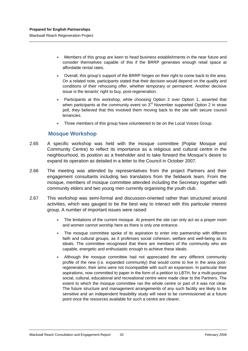<span id="page-29-0"></span>• Members of this group are keen to head business establishments in the near future and consider themselves capable of this if the BRRP generates enough retail space at affordable rental rates.

- Overall, this group's support of the BRRP hinges on their right to come back to the area. On a related note, participants stated that their decision would depend on the quality and conditions of their rehousing offer, whether temporary or permanent. Another decisive issue is the tenants' right to buy, post-regeneration.
- Participants at this workshop, while choosing Option 2 over Option 1, asserted that when participants at the community event on  $3<sup>rd</sup>$  November supported Option 2 in straw poll, they believed that this involved them moving back to the site with secure council tenancies.
- Three members of this group have volunteered to be on the Local Voices Group.

#### **Mosque Workshop**

- 2.65 A specific workshop was held with the mosque committee (Poplar Mosque and Community Centre) to reflect its importance as a religious and cultural centre in the neighbourhood, its position as a freeholder and to take forward the Mosque's desire to expand its operation as detailed in a letter to the Council in October 2007.
- 2.66 The meeting was attended by representatives from the project Partners and their engagement consultants including two translators from the fieldwork team. From the mosque, members of mosque committee attended including the Secretary together with community elders and two young men currently organising the youth club.
- 2.67 This workshop was semi-formal and discussion-oriented rather than structured around activities, which was gauged to be the best way to interact with this particular interest group. A number of important issues were raised:
	- The limitations of the current mosque. At present the site can only act as a prayer room and women cannot worship here as there is only one entrance.
	- The mosque committee spoke of its aspiration to enter into partnership with different faith and cultural groups, as it professes social cohesion, welfare and well-being as its ideals. The committee recognised that there are members of the community who are capable, energetic and enthusiastic enough to achieve these ideals.
	- Although the mosque committee had not appreciated the very different community profile of the new (i.e. expanded community) that would come to live in the area postregeneration, their aims were not incompatible with such an expansion. In particular their aspirations, now committed to paper in the form of a petition to LBTH, for a multi-purpose social, cultural, educational and recreational centre were made clear to the Partners. The extent to which the mosque committee ran the whole centre or part of it was not clear. The future structure and management arrangements of any such facility are likely to be sensitive and an independent feasibility study will need to be commissioned at a future point once the resources available for such a centre are clearer.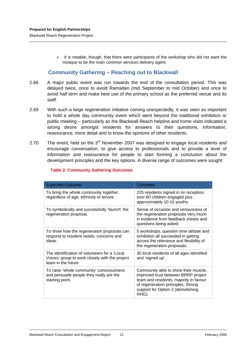<span id="page-30-0"></span>• It is notable, though, that there were participants of the workshop who did not want the mosque to be the main common services delivery agent.

#### **Community Gathering – Reaching out to Blackwall**

- 2.68 A major public event was run towards the end of the consultation period. This was delayed twice, once to avoid Ramadan (mid September to mid October) and once to avoid half term and make best use of the primary school as the preferred venue and its staff.
- 2.69 With such a large regeneration initiative coming unexpectedly, it was seen as important to hold a whole day community event which went beyond the traditional exhibition or public meeting – particularly as the Blackwall Reach helpline and home visits indicated a strong desire amongst residents for answers to their questions, information, reassurance, more detail and to know the opinions of other residents.
- 2.70 The event, held on the  $3<sup>rd</sup>$  November 2007 was designed to engage local residents and encourage conversation, to give access to professionals and to provide a level of information and reassurance for people to start forming a conclusion about the development principles and the key options. A diverse range of outcomes were sought:

| <b>Expected Outcome</b>                                                                                               | Comment                                                                                                                                                                                                   |
|-----------------------------------------------------------------------------------------------------------------------|-----------------------------------------------------------------------------------------------------------------------------------------------------------------------------------------------------------|
| To bring the whole community together,<br>regardless of age, ethnicity or tenure.                                     | 225 residents signed in on reception,<br>over 60 children engaged plus<br>approximately 10-15 youths.                                                                                                     |
| To symbolically and successfully 'launch' the<br>regeneration proposal.                                               | Sense of occasion and seriousness of<br>the regeneration proposals very much<br>in evidence from feedback sheets and<br>questions being asked.                                                            |
| To show how the regeneration proposals can<br>respond to resident needs, concerns and<br>ideas.                       | 5 workshops, question time debate and<br>exhibition all succeeded in getting<br>across the relevance and flexibility of<br>the regeneration proposals.                                                    |
| The identification of volunteers for a 'Local<br>Voices' group to work closely with the project<br>team in the future | 30 local residents of all ages identified<br>and 'signed up'.                                                                                                                                             |
| To raise 'whole community' consciousness<br>and persuade people they really are the<br>starting point.                | Community able to show their muscle,<br>improved trust between BRRP project<br>team and residents, majority in favour<br>of regeneration principles. Strong<br>support for Option 2 (demolishing<br>RHG). |

#### **Table 2: Community Gathering Outcomes**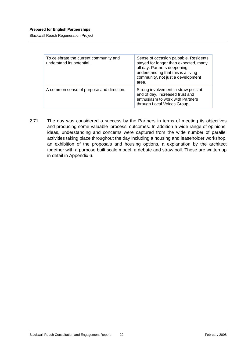#### **Prepared for English Partnerships**

Blackwall Reach Regeneration Project

| To celebrate the current community and<br>understand its potential. | Sense of occasion palpable. Residents<br>stayed for longer than expected, many<br>all day. Partners deepening<br>understanding that this is a living<br>community, not just a development<br>area. |
|---------------------------------------------------------------------|----------------------------------------------------------------------------------------------------------------------------------------------------------------------------------------------------|
| A common sense of purpose and direction.                            | Strong involvement in straw polls at<br>end of day, Increased trust and<br>enthusiasm to work with Partners<br>through Local Voices Group.                                                         |

2.71 The day was considered a success by the Partners in terms of meeting its objectives and producing some valuable 'process' outcomes. In addition a wide range of opinions, ideas, understanding and concerns were captured from the wide number of parallel activities taking place throughout the day including a housing and leaseholder workshop, an exhibition of the proposals and housing options, a explanation by the architect together with a purpose built scale model, a debate and straw poll. These are written up in detail in Appendix 6.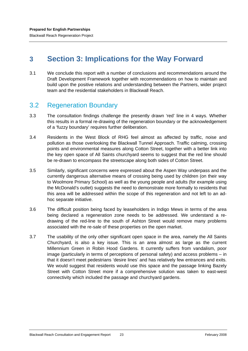# <span id="page-32-0"></span>**3 Section 3: Implications for the Way Forward**

3.1 We conclude this report with a number of conclusions and recommendations around the Draft Development Framework together with recommendations on how to maintain and build upon the positive relations and understanding between the Partners, wider project team and the residential stakeholders in Blackwall Reach.

## 3.2 Regeneration Boundary

- 3.3 The consultation findings challenge the presently drawn 'red' line in 4 ways. Whether this results in a formal re-drawing of the regeneration boundary or the acknowledgement of a 'fuzzy boundary' requires further deliberation.
- 3.4 Residents in the West Block of RHG feel almost as affected by traffic, noise and pollution as those overlooking the Blackwall Tunnel Approach. Traffic calming, crossing points and environmental measures along Cotton Street, together with a better link into the key open space of All Saints churchyard seems to suggest that the red line should be re-drawn to encompass the streetscape along both sides of Cotton Street.
- 3.5 Similarly, significant concerns were expressed about the Aspen Way underpass and the currently dangerous alternative means of crossing being used by children (on their way to Woolmore Primary School) as well as the young people and adults (for example using the McDonald's outlet) suggests the need to demonstrate more formally to residents that this area will be addressed within the scope of this regeneration and not left to an adhoc separate initiative.
- 3.6 The difficult position being faced by leaseholders in Indigo Mews in terms of the area being declared a regeneration zone needs to be addressed. We understand a redrawing of the red-line to the south of Ashton Street would remove many problems associated with the re-sale of these properties on the open market.
- 3.7 The usability of the only other significant open space in the area, namely the All Saints Churchyard, is also a key issue. This is an area almost as large as the current Millennium Green in Robin Hood Gardens. It currently suffers from vandalism, poor image (particularly in terms of perceptions of personal safety) and access problems – in that it doesn't meet pedestrians 'desire lines' and has relatively few entrances and exits. We would suggest that residents would use this space and the passage linking Bazely Street with Cotton Street more if a comprehensive solution was taken to east-west connectivity which included the passage and churchyard gardens.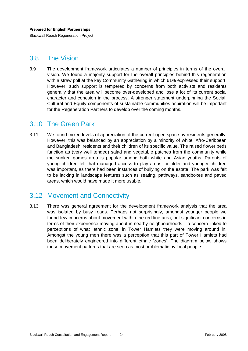## <span id="page-33-0"></span>3.8 The Vision

3.9 The development framework articulates a number of principles in terms of the overall vision. We found a majority support for the overall principles behind this regeneration with a straw poll at the key Community Gathering in which 61% expressed their support. However, such support is tempered by concerns from both activists and residents generally that the area will become over-developed and lose a lot of its current social character and cohesion in the process. A stronger statement underpinning the Social, Cultural and Equity components of sustainable communities aspiration will be important for the Regeneration Partners to develop over the coming months.

## 3.10 The Green Park

3.11 We found mixed levels of appreciation of the current open space by residents generally. However, this was balanced by an appreciation by a minority of white, Afro-Caribbean and Bangladeshi residents and their children of its specific value. The raised flower beds function as (very well tended) salad and vegetable patches from the community while the sunken games area is popular among both white and Asian youths. Parents of young children felt that managed access to play areas for older and younger children was important, as there had been instances of bullying on the estate. The park was felt to be lacking in landscape features such as seating, pathways, sandboxes and paved areas, which would have made it more usable.

# 3.12 Movement and Connectivity

3.13 There was general agreement for the development framework analysis that the area was isolated by busy roads. Perhaps not surprisingly, amongst younger people we found few concerns about movement within the red line area, but significant concerns in terms of their experience moving about in nearby neighbourhoods – a concern linked to perceptions of what 'ethnic zone' in Tower Hamlets they were moving around in. Amongst the young men there was a perception that this part of Tower Hamlets had been deliberately engineered into different ethnic 'zones'. The diagram below shows those movement patterns that are seen as most problematic by local people: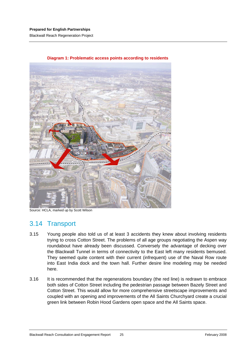#### <span id="page-34-0"></span>**Prepared for English Partnerships**

Blackwall Reach Regeneration Project



#### **Diagram 1: Problematic access points according to residents**

Source: HCLA, marked up by Scott Wilson

## 3.14 Transport

- 3.15 Young people also told us of at least 3 accidents they knew about involving residents trying to cross Cotton Street. The problems of all age groups negotiating the Aspen way roundabout have already been discussed. Conversely the advantage of decking over the Blackwall Tunnel in terms of connectivity to the East left many residents bemused. They seemed quite content with their current (infrequent) use of the Naval Row route into East India dock and the town hall. Further desire line modeling may be needed here.
- 3.16 It is recommended that the regenerations boundary (the red line) is redrawn to embrace both sides of Cotton Street including the pedestrian passage between Bazely Street and Cotton Street. This would allow for more comprehensive streetscape improvements and coupled with an opening and improvements of the All Saints Churchyard create a crucial green link between Robin Hood Gardens open space and the All Saints space.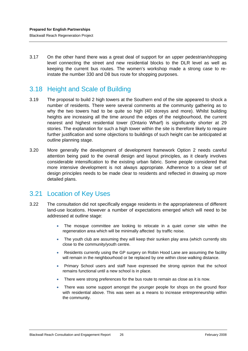<span id="page-35-0"></span>3.17 On the other hand there was a great deal of support for an upper pedestrian/shopping level connecting the street and new residential blocks to the DLR level as well as keeping the current bus routes. The women's workshop made a strong case to reinstate the number 330 and D8 bus route for shopping purposes.

# 3.18 Height and Scale of Building

- 3.19 The proposal to build 2 high towers at the Southern end of the site appeared to shock a number of residents. There were several comments at the community gathering as to why the two towers had to be quite so high (40 storeys and more). Whilst building heights are increasing all the time around the edges of the neigbourhood, the current nearest and highest residential tower (Ontario Wharf) is significantly shorter at 29 stories. The explanation for such a high tower within the site is therefore likely to require further justification and some objections to buildings of such height can be anticipated at outline planning stage.
- 3.20 More generally the development of development framework Option 2 needs careful attention being paid to the overall design and layout principles, as it clearly involves considerable intensification to the existing urban fabric. Some people considered that more intensive development is not always appropriate. Adherence to a clear set of design principles needs to be made clear to residents and reflected in drawing up more detailed plans.

## 3.21 Location of Key Uses

- 3.22 The consultation did not specifically engage residents in the appropriateness of different land-use locations. However a number of expectations emerged which will need to be addressed at outline stage:
	- The mosque committee are looking to relocate in a quiet corner site within the regeneration area which will be minimally affected by traffic noise.
	- The youth club are assuming they will keep their sunken play area (which currently sits close to the community/youth centre.
	- Residents currently using the GP surgery on Robin Hood Lane are assuming the facility will remain in the neighbourhood or be replaced by one within close walking distance.
	- Primary School users and staff have expressed the strong opinion that the school remains functional until a new school is in place.
	- There were strong preferences for the bus route to remain as close as it is now.
	- There was some support amongst the younger people for shops on the ground floor with residential above. This was seen as a means to increase entrepreneurship within the community.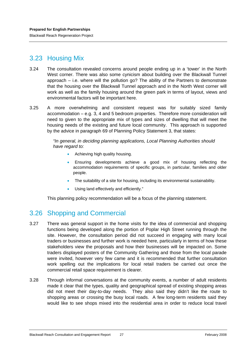# <span id="page-36-0"></span>3.23 Housing Mix

- 3.24 The consultation revealed concerns around people ending up in a 'tower' in the North West corner. There was also some cynicism about building over the Blackwall Tunnel approach – i.e. where will the pollution go? The ability of the Partners to demonstrate that the housing over the Blackwall Tunnel approach and in the North West corner will work as well as the family housing around the green park in terms of layout, views and environmental factors will be important here.
- 3.25 A more overwhelming and consistent request was for suitably sized family accommodation – e.g. 3, 4 and 5 bedroom properties. Therefore more consideration will need to given to the appropriate mix of types and sizes of dwelling that will meet the housing needs of the existing and future local community. This approach is supported by the advice in paragraph 69 of Planning Policy Statement 3, that states:

*"In general, in deciding planning applications, Local Planning Authorities should have regard to:* 

- Achieving high quality housing.
- Ensuring developments achieve a good mix of housing reflecting the accommodation requirements of specific groups, in particular, families and older people.
- The suitability of a site for housing, including its environmental sustainability.
- Using land effectively and efficiently."

This planning policy recommendation will be a focus of the planning statement.

## 3.26 Shopping and Commercial

- 3.27 There was general support in the home visits for the idea of commercial and shopping functions being developed along the portion of Poplar High Street running through the site. However, the consultation period did not succeed in engaging with many local traders or businesses and further work is needed here, particularly in terms of how these stakeholders view the proposals and how their businesses will be impacted on. Some traders displayed posters of the Community Gathering and those from the local parade were invited, however very few came and it is recommended that further consultation work spelling out the implications for local retail traders be carried out once the commercial retail space requirement is clearer.
- 3.28 Through informal conversations at the community events, a number of adult residents made it clear that the types, quality and geographical spread of existing shopping areas did not meet their day-to-day needs. They also said they didn't like the route to shopping areas or crossing the busy local roads. A few long-term residents said they would like to see shops mixed into the residential area in order to reduce local travel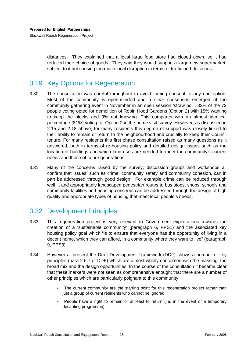<span id="page-37-0"></span>distances. They explained that a local large food store had closed down, so it had reduced their choice of goods. They said they would support a large new supermarket, subject to it not causing too much local disruption in terms of traffic and deliveries.

# 3.29 Key Options for Regeneration

- 3.30 The consultation was careful throughout to avoid forcing consent to any one option. Most of the community is open-minded and a clear consensus emerged at the community gathering event in November in an open session 'straw poll'. 82% of the 72 people voting opted for demolition of Robin Hood Gardens (Option 2) with 15% wanting to keep the blocks and 3% not knowing. This compares with an almost identical percentage (81%) voting for Option 2 in the home visit survey. However, as discussed in 2.15 and 2.18 above, for many residents this degree of support was closely linked to their ability to remain or return to the neighbourhood and crucially to keep their Council tenure. For many residents this first phase consultation raised as many questions as it answered, both in terms of re-housing policy and detailed design issues such as the location of buildings and which land uses are needed to meet the community's current needs and those of future generations.
- 3.31 Many of the concerns raised by the survey, discussion groups and workshops all confirm that issues, such as crime, community safety and community cohesion, can in part be addressed through good design. For example crime can be reduced through well lit and appropriately landscaped pedestrian routes to bus stops, shops, schools and community facilities and housing concerns can be addressed through the design of high quality and appropriate types of housing that meet local people's needs.

## 3.32 Development Principles

- 3.33 This regeneration project is very relevant to Government expectations towards the creation of a 'sustainable community' (paragraph 6, PPS1) and the associated key housing policy goal which "is to ensure that everyone has the opportunity of living in a decent home, which they can afford, in a community where they want to live" (paragraph 9, PPS3).
- 3.34 However at present the Draft Development Framework (DDF) shows a number of key principles (para 2.6.7 of DDF) which are almost wholly concerned with the massing, the broad mix and the design opportunities. In the course of the consultation it became clear that these markers were not seen as comprehensive enough; that there are a number of other principles which are particularly poignant to this community:
	- The current community are the starting point for this regeneration project rather than just a group of current residents who cannot be ignored.
	- People have a right to remain or at least to return (i.e. in the event of a temporary decanting programme).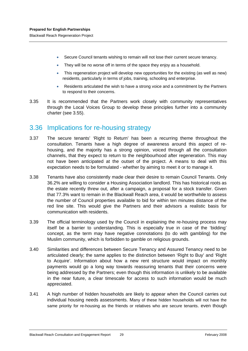<span id="page-38-0"></span>Blackwall Reach Regeneration Project

- Secure Council tenants wishing to remain will not lose their current secure tenancy.
- They will be no worse off in terms of the space they enjoy as a household.
- This regeneration project will develop new opportunities for the existing (as well as new) residents, particularly in terms of jobs, training, schooling and enterprise.
- Residents articulated the wish to have a strong voice and a commitment by the Partners to respond to their concerns.
- 3.35 It is recommended that the Partners work closely with community representatives through the Local Voices Group to develop these principles further into a community charter (see 3.55).

## 3.36 Implications for re-housing strategy

- 3.37 The secure tenants' 'Right to Return' has been a recurring theme throughout the consultation. Tenants have a high degree of awareness around this aspect of rehousing, and the majority has a strong opinion, voiced through all the consultation channels, that they expect to return to the neighbourhood after regeneration. This may not have been anticipated at the outset of the project. A means to deal with this expectation needs to be formulated - whether by aiming to meet it or to manage it.
- 3.38 Tenants have also consistently made clear their desire to remain Council Tenants. Only 36.2% are willing to consider a Housing Association landlord. This has historical roots as the estate recently threw out, after a campaign, a proposal for a stock transfer. Given that 77.3% want to remain in the Blackwall Reach area, it would be worthwhile to assess the number of Council properties available to bid for within ten minutes distance of the red line site. This would give the Partners and their advisors a realistic basis for communication with residents.
- 3.39 The official terminology used by the Council in explaining the re-housing process may itself be a barrier to understanding. This is especially true in case of the 'bidding' concept, as the term may have negative connotations (to do with gambling) for the Muslim community, which is forbidden to gamble on religious grounds.
- 3.40 Similarities and differences between Secure Tenancy and Assured Tenancy need to be articulated clearly; the same applies to the distinction between 'Right to Buy' and 'Right to Acquire'. Information about how a new rent structure would impact on monthly payments would go a long way towards reassuring tenants that their concerns were being addressed by the Partners; even though this information is unlikely to be available in the near future, a clear timescale for access to such information would be much appreciated.
- 3.41 A high number of hidden households are likely to appear when the Council carries out individual housing needs assessments. Many of these hidden households will not have the same priority for re-housing as the friends or relatives who are secure tenants. even though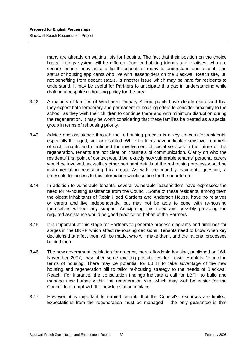many are already on waiting lists for housing. The fact that their position on the choice based lettings system will be different from co-habiting friends and relatives, who are secure tenants, may be a difficult concept for many to understand and accept. The status of housing applicants who live with leaseholders on the Blackwall Reach site, i.e. not benefiting from decant status, is another issue which may be hard for residents to understand. It may be useful for Partners to anticipate this gap in understanding while drafting a bespoke re-housing policy for the area.

- 3.42 A majority of families of Woolmore Primary School pupils have clearly expressed that they expect both temporary and permanent re-housing offers to consider proximity to the school, as they wish their children to continue there and with minimum disruption during the regeneration. It may be worth considering that these families be treated as a special group in terms of rehousing priority.
- 3.43 Advice and assistance through the re-housing process is a key concern for residents, especially the aged, sick or disabled. While Partners have indicated sensitive treatment of such tenants and mentioned the involvement of social services in the future of this regeneration, tenants are not clear on channels of communication. Clarity on who the residents' first point of contact would be, exactly how vulnerable tenants' personal carers would be involved, as well as other pertinent details of the re-housing process would be instrumental in reassuring this group. As with the monthly payments question, a timescale for access to this information would suffice for the near future.
- 3.44 In addition to vulnerable tenants, several vulnerable leaseholders have expressed the need for re-housing assistance from the Council. Some of these residents, among them the oldest inhabitants of Robin Hood Gardens and Anderson House, have no relatives or carers and live independently, but may not be able to cope with re-housing themselves without any support. Anticipating this need and possibly providing the required assistance would be good practice on behalf of the Partners.
- 3.45 It is important at this stage for Partners to generate process diagrams and timelines for stages in the BRRP which affect re-housing decisions. Tenants need to know when key decisions that affect them will be made, who will make them, and the rational processes behind them.
- 3.46 The new government legislation for greener, more affordable housing, published on 16th November 2007, may offer some exciting possibilities for Tower Hamlets Council in terms of housing. There may be potential for LBTH to take advantage of the new housing and regeneration bill to tailor re-housing strategy to the needs of Blackwall Reach. For instance, the consultation findings indicate a call for LBTH to build and manage new homes within the regeneration site, which may well be easier for the Council to attempt with the new legislation in place.
- 3.47 However, it is important to remind tenants that the Council's resources are limited. Expectations from the regeneration must be managed – the only guarantee is that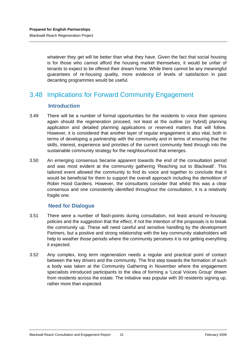<span id="page-40-0"></span>whatever they get will be better than what they have. Given the fact that social housing is for those who cannot afford the housing market themselves, it would be unfair of tenants to expect to be offered their dream home. While there cannot be any meaningful guarantees of re-housing quality, more evidence of levels of satisfaction in past decanting programmes would be useful.

# 3.48 Implications for Forward Community Engagement

#### **Introduction**

- 3.49 There will be a number of formal opportunities for the residents to voice their opinions again should the regeneration proceed, not least at the outline (or hybrid) planning application and detailed planning applications or reserved matters that will follow. However, it is considered that another layer of regular engagement is also vital, both in terms of developing a partnership with the community and in terms of ensuring that the skills, interest, experience and priorities of the current community feed through into the sustainable community strategy for the neighbourhood that emerges.
- 3.50 An emerging consensus became apparent towards the end of the consultation period and was most evident at the community gathering 'Reaching out to Blackwall'. This tailored event allowed the community to find its voice and together to conclude that it would be beneficial for them to support the overall approach including the demolition of Robin Hood Gardens. However, the consultants consider that whilst this was a clear consensus and one consistently identified throughout the consultation, it is a relatively fragile one.

#### **Need for Dialogue**

- 3.51 There were a number of flash-points during consultation, not least around re-housing policies and the suggestion that the effect, if not the intention of the proposals is to break the community up. These will need careful and sensitive handling by the development Partners, but a positive and strong relationship with the key community stakeholders will help to weather those periods where the community perceives it is not getting everything it expected.
- 3.52 Any complex, long term regeneration needs a regular and practical point of contact between the key drivers and the community. The first step towards the formation of such a body was taken at the Community Gathering in November where the engagement specialists introduced participants to the idea of forming a 'Local Voices Group' drawn from residents across the estate. The initiative was popular with 30 residents signing up, rather more than expected.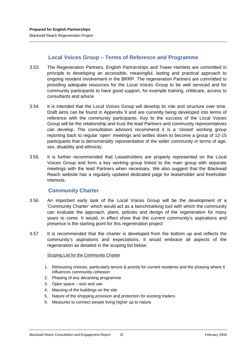#### **Local Voices Group – Terms of Reference and Programme**

- <span id="page-41-0"></span>3.53 The Regeneration Partners, English Partnerships and Tower Hamlets are committed in principle to developing an accessible, meaningful, lasting and practical approach to ongoing resident involvement in the BRRP. The regeneration Partners are committed to providing adequate resources for the Local Voices Group to be well serviced and for community participants to have good support, for example training, childcare, access to consultants and advice
- 3.54 It is intended that the Local Voices Group will develop its role and structure over time. Draft aims can be found in Appendix 9 and are currently being developed into terms of reference with the community participants. Key to the success of the Local Voices Group will be the relationship and trust the lead Partners and community representatives can develop. The consultation advisors recommend it is a 'closed' working group reporting back to regular 'open' meetings and settles down to become a group of 12-15 participants that is demonstrably representative of the wider community in terms of age, sex, disability and ethnicity.
- 3.55 It is further recommended that Leaseholders are properly represented on the Local Voices Group and form a key working group linked to the main group with separate meetings with the lead Partners when necessary. We also suggest that the Blackwall Reach website has a regularly updated dedicated page for leaseholder and freeholder interests.

#### **Community Charter**

- 3.56 An important early task of the Local Voices Group will be the development of a 'Community Charter' which would act as a benchmarking tool with which the community can evaluate the approach, plans, policies and design of the regeneration for many years to come. It would, in effect show that the current community's aspirations and presence is the starting point for this regeneration project
- 3.57 It is recommended that the charter is developed from the bottom up and reflects the community's aspirations and expectations. It would embrace all aspects of the regeneration as detailed in the scoping list below:

#### Scoping List for the Community Charter

- 1. Rehousing choices, particularly tenure & priority for current residents and the phasing where it influences community cohesion
- 2. Phasing of any decanting programme
- 3. Open space size and use
- 4. Massing of the buildings on the site
- 5. Nature of the shopping provision and protection for existing traders
- 6. Measures to connect people living higher up to nature